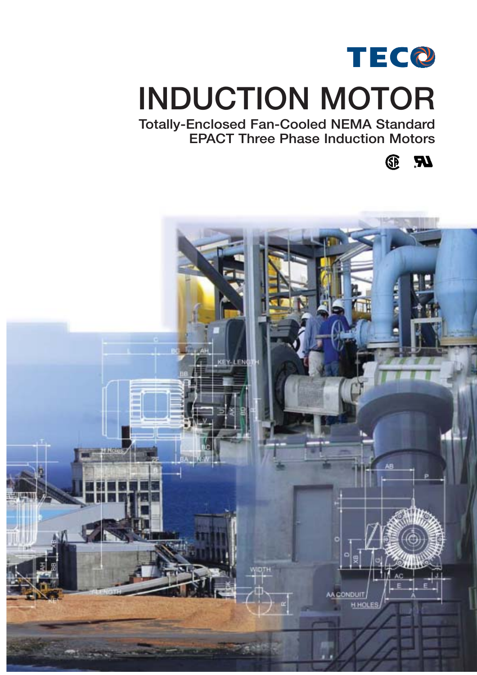

# **INDUCTION MOTOR**

**Totally-Enclosed Fan-Cooled NEMA Standard EPACT Three Phase Induction Motors**

> E  $\boldsymbol{R}$

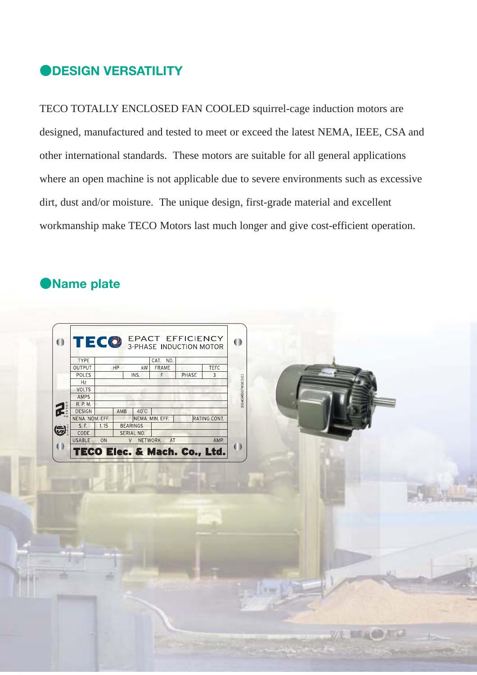### **DESIGN VERSATILITY**

TECO TOTALLY ENCLOSED FAN COOLED squirrel-cage induction motors are designed, manufactured and tested to meet or exceed the latest NEMA, IEEE, CSA and other international standards. These motors are suitable for all general applications where an open machine is not applicable due to severe environments such as excessive dirt, dust and/or moisture. The unique design, first-grade material and excellent workmanship make TECO Motors last much longer and give cost-efficient operation.

### **Name plate**

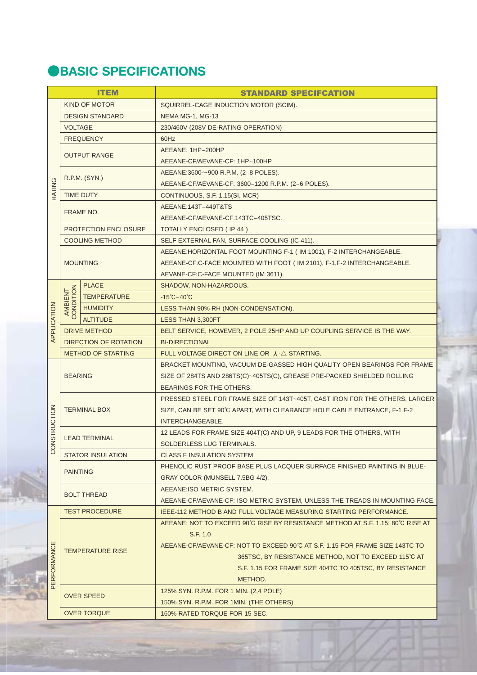## **OBASIC SPECIFICATIONS**

|             |                      | <b>ITEM</b>                                                             | <b>STANDARD SPECIFCATION</b>                                                             |  |  |  |  |  |  |  |  |
|-------------|----------------------|-------------------------------------------------------------------------|------------------------------------------------------------------------------------------|--|--|--|--|--|--|--|--|
|             |                      | <b>KIND OF MOTOR</b>                                                    | SQUIRREL-CAGE INDUCTION MOTOR (SCIM).                                                    |  |  |  |  |  |  |  |  |
|             |                      | <b>DESIGN STANDARD</b>                                                  | NEMA MG-1, MG-13                                                                         |  |  |  |  |  |  |  |  |
|             | <b>VOLTAGE</b>       |                                                                         | 230/460V (208V DE-RATING OPERATION)                                                      |  |  |  |  |  |  |  |  |
|             |                      | <b>FREQUENCY</b>                                                        | 60Hz                                                                                     |  |  |  |  |  |  |  |  |
|             |                      | <b>OUTPUT RANGE</b>                                                     | AEEANE: 1HP~200HP                                                                        |  |  |  |  |  |  |  |  |
|             |                      |                                                                         | AEEANE-CF/AEVANE-CF: 1HP~100HP                                                           |  |  |  |  |  |  |  |  |
|             |                      | R.P.M. (SYN.)                                                           | AEEANE:3600~900 R.P.M. (2~8 POLES).                                                      |  |  |  |  |  |  |  |  |
| RATING      |                      |                                                                         | AEEANE-CF/AEVANE-CF: 3600~1200 R.P.M. (2~6 POLES).                                       |  |  |  |  |  |  |  |  |
|             |                      | <b>TIME DUTY</b>                                                        | CONTINUOUS, S.F. 1.15(SI, MCR)                                                           |  |  |  |  |  |  |  |  |
|             |                      | FRAME NO.                                                               | AEEANE:143T~449T&TS                                                                      |  |  |  |  |  |  |  |  |
|             |                      |                                                                         | AEEANE-CF/AEVANE-CF:143TC~405TSC.                                                        |  |  |  |  |  |  |  |  |
|             |                      | <b>PROTECTION ENCLOSURE</b>                                             | <b>TOTALLY ENCLOSED (IP 44)</b>                                                          |  |  |  |  |  |  |  |  |
|             |                      | <b>COOLING METHOD</b>                                                   | SELF EXTERNAL FAN, SURFACE COOLING (IC 411).                                             |  |  |  |  |  |  |  |  |
|             |                      |                                                                         | AEEANE: HORIZONTAL FOOT MOUNTING F-1 (IM 1001), F-2 INTERCHANGEABLE.                     |  |  |  |  |  |  |  |  |
|             |                      | <b>MOUNTING</b>                                                         | AEEANE-CF:C-FACE MOUNTED WITH FOOT (IM 2101), F-1, F-2 INTERCHANGEABLE.                  |  |  |  |  |  |  |  |  |
|             |                      |                                                                         | AEVANE-CF:C-FACE MOUNTED (IM 3611).                                                      |  |  |  |  |  |  |  |  |
|             |                      | <b>PLACE</b>                                                            | SHADOW, NON-HAZARDOUS.                                                                   |  |  |  |  |  |  |  |  |
|             | AMBIENT<br>CONDITION | <b>TEMPERATURE</b>                                                      | $-15^{\circ}$ C $\sim$ 40 $^{\circ}$ C                                                   |  |  |  |  |  |  |  |  |
|             |                      | <b>HUMIDITY</b>                                                         | LESS THAN 90% RH (NON-CONDENSATION).                                                     |  |  |  |  |  |  |  |  |
|             |                      | <b>ALTITUDE</b>                                                         | <b>LESS THAN 3,300FT</b>                                                                 |  |  |  |  |  |  |  |  |
| APPLICATION |                      | <b>DRIVE METHOD</b>                                                     | BELT SERVICE, HOWEVER, 2 POLE 25HP AND UP COUPLING SERVICE IS THE WAY.                   |  |  |  |  |  |  |  |  |
|             |                      | <b>DIRECTION OF ROTATION</b>                                            | <b>BI-DIRECTIONAL</b>                                                                    |  |  |  |  |  |  |  |  |
|             |                      | <b>METHOD OF STARTING</b>                                               | FULL VOLTAGE DIRECT ON LINE OR $\lambda$ - $\triangle$ STARTING.                         |  |  |  |  |  |  |  |  |
|             |                      | BRACKET MOUNTING, VACUUM DE-GASSED HIGH QUALITY OPEN BEARINGS FOR FRAME |                                                                                          |  |  |  |  |  |  |  |  |
|             | <b>BEARING</b>       |                                                                         | SIZE OF 284TS AND 286TS(C)~405TS(C), GREASE PRE-PACKED SHIELDED ROLLING                  |  |  |  |  |  |  |  |  |
|             |                      |                                                                         | BEARINGS FOR THE OTHERS.                                                                 |  |  |  |  |  |  |  |  |
|             |                      |                                                                         | PRESSED STEEL FOR FRAME SIZE OF 143T~405T, CAST IRON FOR THE OTHERS, LARGER              |  |  |  |  |  |  |  |  |
|             |                      | <b>TERMINAL BOX</b>                                                     | SIZE, CAN BE SET 90°C APART, WITH CLEARANCE HOLE CABLE ENTRANCE, F-1 F-2                 |  |  |  |  |  |  |  |  |
| NSTRUCTION  |                      |                                                                         | INTERCHANGEABLE.<br>12 LEADS FOR FRAME SIZE 404T(C) AND UP, 9 LEADS FOR THE OTHERS, WITH |  |  |  |  |  |  |  |  |
|             |                      | <b>LEAD TERMINAL</b>                                                    | SOLDERLESS LUG TERMINALS.                                                                |  |  |  |  |  |  |  |  |
| SO          |                      | <b>STATOR INSULATION</b>                                                | <b>CLASS F INSULATION SYSTEM</b>                                                         |  |  |  |  |  |  |  |  |
|             |                      |                                                                         | PHENOLIC RUST PROOF BASE PLUS LACQUER SURFACE FINISHED PAINTING IN BLUE-                 |  |  |  |  |  |  |  |  |
|             | <b>PAINTING</b>      |                                                                         | GRAY COLOR (MUNSELL 7.5BG 4/2).                                                          |  |  |  |  |  |  |  |  |
|             |                      |                                                                         | AEEANE: ISO METRIC SYSTEM.                                                               |  |  |  |  |  |  |  |  |
|             |                      | <b>BOLT THREAD</b>                                                      | AEEANE-CF/AEVANE-CF: ISO METRIC SYSTEM, UNLESS THE TREADS IN MOUNTING FACE.              |  |  |  |  |  |  |  |  |
|             |                      | <b>TEST PROCEDURE</b>                                                   | IEEE-112 METHOD B AND FULL VOLTAGE MEASURING STARTING PERFORMANCE.                       |  |  |  |  |  |  |  |  |
|             |                      |                                                                         | AEEANE: NOT TO EXCEED 90°C RISE BY RESISTANCE METHOD AT S.F. 1.15; 80°C RISE AT          |  |  |  |  |  |  |  |  |
|             |                      |                                                                         | S.F. 1.0                                                                                 |  |  |  |  |  |  |  |  |
|             |                      |                                                                         | AEEANE-CF/AEVANE-CF: NOT TO EXCEED 90°C AT S.F. 1.15 FOR FRAME SIZE 143TC TO             |  |  |  |  |  |  |  |  |
|             |                      | TEMPERATURE RISE                                                        | 365TSC, BY RESISTANCE METHOD, NOT TO EXCEED 115°C AT                                     |  |  |  |  |  |  |  |  |
|             |                      |                                                                         | S.F. 1.15 FOR FRAME SIZE 404TC TO 405TSC, BY RESISTANCE                                  |  |  |  |  |  |  |  |  |
| PERFORMANCE |                      |                                                                         | METHOD.                                                                                  |  |  |  |  |  |  |  |  |
|             |                      | <b>OVER SPEED</b>                                                       | 125% SYN. R.P.M. FOR 1 MIN. (2,4 POLE)                                                   |  |  |  |  |  |  |  |  |
|             |                      |                                                                         | 150% SYN. R.P.M. FOR 1MIN. (THE OTHERS)                                                  |  |  |  |  |  |  |  |  |
|             |                      | <b>OVER TORQUE</b>                                                      | 160% RATED TORQUE FOR 15 SEC.                                                            |  |  |  |  |  |  |  |  |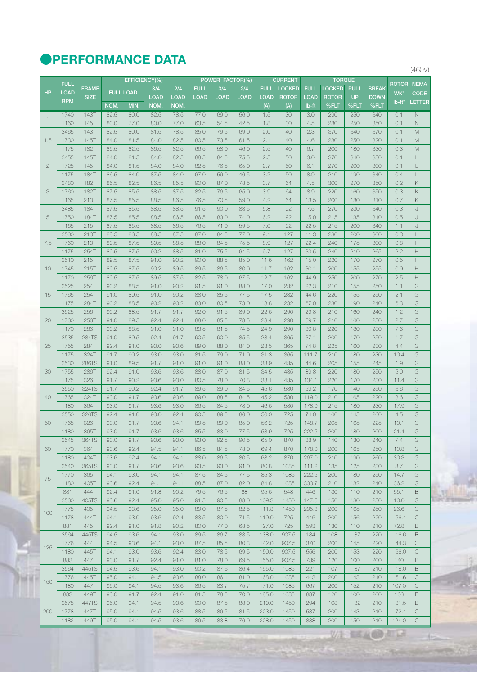### **@PERFORMANCE DATA**

|                |             |              |      | EFFICIENCY(%)    |             |             |             | POWER FACTOR(%) |      |             | <b>CURRENT</b> | <b>TORQUE</b> |               |             |              |                 |                                                                                                                     |
|----------------|-------------|--------------|------|------------------|-------------|-------------|-------------|-----------------|------|-------------|----------------|---------------|---------------|-------------|--------------|-----------------|---------------------------------------------------------------------------------------------------------------------|
|                | <b>FULL</b> | <b>FRAME</b> |      |                  | 3/4         | 2/4         | <b>FULL</b> | 3/4             | 2/4  | <b>FULL</b> | LOCKED         | <b>FULL</b>   | <b>LOCKED</b> | <b>PULL</b> | <b>BREAK</b> | ROTOR           | <b>NEMA</b>                                                                                                         |
| <b>HP</b>      | <b>LOAD</b> | <b>SIZE</b>  |      | <b>FULL LOAD</b> | <b>LOAD</b> | <b>LOAD</b> | <b>LOAD</b> | <b>LOAD</b>     | LOAD | <b>LOAD</b> | <b>ROTOR</b>   | LOAD          | <b>ROTOR</b>  | <b>UP</b>   | <b>DOWN</b>  | WK <sup>2</sup> | <b>CODE</b>                                                                                                         |
|                | <b>RPM</b>  |              | NOM. | MIN.             | NOM.        | NOM.        |             |                 |      | (A)         | (A)            | lb-ft         | %FLT          | %FLT        | %FLT         | $Ib-ft^2$       | LETTER                                                                                                              |
|                | 1740        | 143T         | 82.5 | 80.0             | 82.5        | 78.5        | 77.0        | 69.0            | 56.0 | 1.5         | 30             | 3.0           | 290           | 250         | 340          | 0.1             | $\mathbb N$                                                                                                         |
| $\overline{1}$ | 1160        | 145T         | 80.0 | 77.0             | 80.0        | 77.0        | 63.5        | 54.5            | 42.5 | 1.8         | 30             | 4.5           | 280           | 250         | 350          | 0.1             | N                                                                                                                   |
|                | 3465        | 143T         | 82.5 | 80.0             | 81.5        | 78.5        | 85.0        | 79.5            | 69.0 | 2.0         | 40             | 2.3           | 370           | 340         | 370          | 0.1             | M                                                                                                                   |
| 1.5            | 1730        | 145T         | 84.0 | 81.5             | 84.0        | 82.5        | 80.5        | 73.5            | 61.5 | 2.1         | 40             | 4.6           | 280           | 250         | 320          | 0.1             | $\mathbb M$                                                                                                         |
|                | 1175        | 182T         | 85.5 | 82.5             | 86.5        | 82.5        | 66.5        | 58.0            | 46.0 | 2.5         | 40             | 6.7           | 200           | 180         | 330          | 0.3             | M                                                                                                                   |
|                | 3455        | 145T         | 84.0 | 81.5             | 84.0        | 82.5        | 88.5        | 84.5            | 75.5 | 2.5         | 50             | 3.0           | 370           | 340         | 380          | 0.1             | L                                                                                                                   |
| $\mathbf{2}$   | 1725        | 145T         | 84.0 | 81.5             | 84.0        | 84.0        | 82.5        | 76.5            | 65.0 | 2.7         | 50             | 6.1           | 270           | 200         | 300          | 0.1             | L                                                                                                                   |
|                | 1175        | 184T         | 86.5 | 84.0             | 87.5        | 84.0        | 67.0        | 59.0            | 46.5 | 3.2         | 50             | 8.9           | 210           | 190         | 340          | 0.4             | $\lfloor$                                                                                                           |
|                | 3480        | 182T         | 85.5 | 82.5             | 86.5        | 85.5        |             |                 | 78.5 | 3.7         | 64             | 4.5           | 300           | 270         | 350          | 0.2             | $\mathsf{K}% _{0}^{\prime}=\mathsf{K}_{0}^{\prime}$                                                                 |
| 3              |             |              |      |                  |             |             | 90.0        | 87.0            |      |             |                |               |               |             |              |                 |                                                                                                                     |
|                | 1760        | 182T         | 87.5 | 85.5             | 88.5        | 87.5        | 82.5        | 76.5            | 65.0 | 3.9         | 64             | 8.9           | 220           | 160         | 350          | 0.3             | Κ                                                                                                                   |
|                | 1165        | 213T         | 87.5 | 85.5             | 88.5        | 86.5        | 76.5        | 70.5            | 59.0 | 4.2         | 64             | 13.5          | 200           | 180         | 310          | 0.7             | $\mathsf{K}% _{0}^{\prime}=\mathsf{K}_{0}^{\prime}$                                                                 |
|                | 3485        | 184T         | 87.5 | 85.5             | 88.5        | 88.5        | 91.5        | 90.0            | 83.5 | 5.8         | 92             | 7.5           | 270           | 230         | 340          | 0.3             | J                                                                                                                   |
| 5              | 1750        | 184T         | 87.5 | 85.5             | 88.5        | 86.5        | 86.5        | 83.0            | 74.0 | 6.2         | 92             | 15.0          | 215           | 135         | 310          | 0.5             | J                                                                                                                   |
|                | 1165        | 215T         | 87.5 | 85.5             | 88.5        | 86.5        | 76.5        | 71.0            | 59.5 | 7.0         | 92             | 22.5          | 215           | 200         | 340          | 1.1             | J                                                                                                                   |
|                | 3500        | 213T         | 88.5 | 86.5             | 88.5        | 87.5        | 87.0        | 84.5            | 77.0 | 9.1         | 127            | 11.3          | 230           | 200         | 300          | 0.3             | $\mathbb H$                                                                                                         |
| 7.5            | 1760        | 213T         | 89.5 | 87.5             | 89.5        | 88.5        | 88.0        | 84.5            | 75.5 | 8.9         | 127            | 22.4          | 240           | 175         | 300          | 0.8             | $\mathsf{H}% _{\mathbb{R}}^{1}\left( \mathbb{R}^{2}\right)$                                                         |
|                | 1175        | 254T         | 89.5 | 87.5             | 90.2        | 88.5        | 81.0        | 75.5            | 64.5 | 9.7         | 127            | 33.5          | 240           | 210         | 265          | 2.2             | $\mathbb H$                                                                                                         |
|                | 3510        | 215T         | 89.5 | 87.5             | 91.0        | 90.2        | 90.0        | 88.5            | 85.0 | 11.6        | 162            | 15.0          | 220           | 170         | 270          | 0.5             | Н                                                                                                                   |
| 10             | 1745        | 215T         | 89.5 | 87.5             | 90.2        | 89.5        | 89.5        | 86.5            | 80.0 | 11.7        | 162            | 30.1          | 200           | 155         | 255          | 0.9             | $\mathbb H$                                                                                                         |
|                | 1170        | 256T         | 89.5 | 87.5             | 89.5        | 87.5        | 82.5        | 78.0            | 67.5 | 12.7        | 162            | 44.9          | 250           | 200         | 270          | 2.5             | $\boldsymbol{\mathsf{H}}$                                                                                           |
|                | 3525        | 254T         | 90.2 | 88.5             | 91.0        | 90.2        | 91.5        | 91.0            | 88.0 | 17.0        | 232            | 22.3          | 210           | 155         | 250          | 1.1             | G                                                                                                                   |
| 15             | 1765        | 254T         | 91.0 | 89.5             | 91.0        | 90.2        | 88.0        | 85.5            | 77.5 | 17.5        | 232            | 44.6          | 220           | 155         | 250          | 2.1             | G                                                                                                                   |
|                | 1175        | 284T         | 90.2 | 88.5             | 90.2        | 90.2        | 83.0        | 80.5            | 73.0 | 18.8        | 232            | 67.0          | 230           | 190         | 240          | 6.3             | G                                                                                                                   |
|                | 3525        | 256T         | 90.2 | 88.5             | 91.7        | 91.7        | 92.0        | 91.5            | 89.0 | 22.6        | 290            | 29.8          | 210           | 160         | 240          | 1.2             | $\mathsf{G}% _{\mathsf{G}}^{\mathsf{G}}(\mathcal{M}_{0})\cong\mathsf{G}_{\mathsf{G}}^{\mathsf{G}}(\mathcal{M}_{0})$ |
| 20             | 1760        | 256T         | 91.0 | 89.5             | 92.4        | 92.4        | 88.0        | 85.5            | 78.5 | 23.4        | 290            | 59.7          | 210           | 160         | 250          | 2.7             | G                                                                                                                   |
|                | 1170        | 286T         | 90.2 | 88.5             | 91.0        | 91.0        | 83.5        | 81.5            | 74.5 | 24.9        | 290            | 89.8          | 220           | 180         | 230          | 7.6             | G                                                                                                                   |
|                | 3535        | <b>284TS</b> | 91.0 | 89.5             | 92.4        | 91.7        | 90.5        | 90.0            | 85.5 | 28.4        | 365            | 37.1          | 200           | 170         | 250          | 1.7             | $\mathsf{G}% _{\mathsf{G}}^{\mathsf{G}}(\mathcal{M}_{0})\cong\mathsf{G}_{\mathsf{G}}^{\mathsf{G}}(\mathcal{M}_{0})$ |
| 25             | 1755        | 284T         | 92.4 | 91.0             | 93.0        | 93.6        | 89.0        | 88.0            | 84.0 | 28.5        | 365            | 74.8          | 225           | 160         | 230          | 4.4             | G                                                                                                                   |
|                | 1175        | 324T         | 91.7 | 90.2             | 93.0        | 93.0        | 81.5        | 79.0            | 71.0 | 31.3        | 365            | 111.7         | 210           | 180         | 230          | 10.4            | $\mathsf{G}% _{\mathsf{G}}^{\mathsf{G}}(\mathcal{M}_{0})\cong\mathsf{G}_{\mathsf{G}}^{\mathsf{G}}(\mathcal{M}_{0})$ |
|                | 3530        | 286TS        | 91.0 | 89.5             | 91.7        | 91.0        | 91.0        | 91.0            | 88.0 | 33.9        | 435            | 44.6          | 205           | 155         | 245          | 1.9             | G                                                                                                                   |
| 30             | 1755        | 286T         | 92.4 | 91.0             | 93.6        | 93.6        | 88.0        | 87.0            | 81.5 | 34.5        | 435            | 89.8          | 220           | 180         | 250          | 5.0             | G                                                                                                                   |
|                | 1175        | 326T         | 91.7 | 90.2             | 93.6        | 93.0        | 80.5        | 78.0            | 70.8 | 38.1        | 435            | 134.1         | 220           | 170         | 230          | 11.4            | G                                                                                                                   |
|                | 3550        | 324TS        | 91.7 | 90.2             | 92.4        | 91.7        | 89.5        | 89.0            | 84.5 | 45.6        | 580            | 59.2          | 170           | 140         | 250          | 3.6             | G                                                                                                                   |
| 40             | 1765        | 324T         | 93.0 | 91.7             | 93.6        | 93.6        | 89.0        | 88.5            | 84.5 | 45.2        | 580            | 119.0         | 210           | 165         | 220          | 8.6             | G                                                                                                                   |
|                | 1180        | 364T         | 93.0 | 91.7             | 93.6        | 93.0        | 86.5        | 84.5            | 78.0 | 46.6        | 580            | 178.0         | 215           | 180         | 230          | 17.9            | G                                                                                                                   |
|                | 3550        | 326TS        | 92.4 | 91.0             | 93.0        | 92.4        | 90.5        | 89.5            | 86.0 | 56.0        | 725            | 74.0          | 160           | 145         | 260          | 4.5             | G                                                                                                                   |
| 50             | 1765        | 326T         | 93.0 | 91.7             | 93.6        | 94.1        | 89.5        | 89.0            | 85.0 | 56.2        | 725            | 148.7         | 205           | 165         | 225          | 10.1            | G                                                                                                                   |
|                | 1180        | 365T         | 93.0 | 91.7             | 93.6        | 93.6        | 85.5        | 83.0            | 77.5 | 58.9        | 725            | 222.5         | 200           | 180         | 200          | 21.4            | $\mathsf{G}% _{\mathsf{G}}^{\mathsf{G}}(\mathcal{M}_{0})\cong\mathsf{G}_{\mathsf{G}}^{\mathsf{G}}(\mathcal{M}_{0})$ |
|                | 3545        | 364TS        | 93.0 | 91.7             | 93.6        | 93.0        | 93.0        | 92.5            | 90.5 | 65.0        | 870            | 88.9          | 140           | 130         | 240          | 7.4             | G                                                                                                                   |
| 60             | 1770        | 364T         | 93.6 | 92.4             | 94.5        | 94.1        | 86.5        | 84.5            | 78.0 | 69.4        | 870            | 178.0         | 200           | 165         | 250          | 10.8            | G                                                                                                                   |
|                | 1180        | 404T         | 93.6 | 92.4             | 94.1        | 94.1        | 88.0        | 86.5            | 80.5 | 68.2        | 870            | 267.0         | 210           | 190         | 260          | 30.3            | G                                                                                                                   |
|                | 3540        | 365TS        | 93.0 | 91.7             | 93.6        | 93.6        | 93.5        | 93.0            | 91.0 | 80.8        | 1085           | 111.2         | 135           | 125         | 230          | 8.7             | G                                                                                                                   |
| 75             | 1770        | 365T         | 94.1 | 93.0             | 94.1        | 94.1        | 87.5        | 84.5            | 77.5 | 85.3        | 1085           | 222.5         | 200           | 180         | 250          | 14.7            | G                                                                                                                   |
|                | 1180        | 405T         | 93.6 | 92.4             | 94.1        | 94.1        | 88.5        | 87.0            | 82.0 | 84.8        | 1085           | 333.7         | 210           | 182         | 240          | 36.2            | G                                                                                                                   |
|                | 881         | 444T         | 92.4 | 91.0             | 91.8        | 90.2        | 79.5        | 76.5            | 68   | 95.6        | 548            | 446           | 130           | 110         | 210          | 55.1            | $\,$ B                                                                                                              |
|                | 3560        | 405TS        | 93.6 | 92.4             | 95.0        | 95.0        | 91.5        | 90.5            | 88.0 | 109.3       | 1450           | 147.5         | 150           | 130         | 280          | 10.0            | G                                                                                                                   |
|                | 1775        | 405T         | 94.5 | 93.6             | 95.0        | 95.0        | 89.0        | 87.5            | 82.5 | 111.3       | 1450           | 295.8         | 200           | 165         | 250          | 26.6            | G                                                                                                                   |
| 100            | 1178        | 444T         | 94.1 | 93.0             | 93.6        | 92.4        | 83.5        | 80.0            | 71.5 | 119.0       | 725            | 446           | 200           | 156         | 220          | 56.4            | $\mathbb C$                                                                                                         |
|                | 881         | 445T         | 92.4 | 91.0             | 91.8        | 90.2        | 80.0        | 77.0            | 68.5 | 127.0       | 725            | 593           | 130           | 110         | 210          | 72.8            | B                                                                                                                   |
|                | 3564        | 445TS        | 94.5 | 93.6             | 94.1        | 93.0        | 89.5        | 86.7            | 83.5 | 138.0       | 907.5          | 184           | 108           | 87          | 220          | 16.6            | $\,$ B                                                                                                              |
|                | 1776        | 444T         | 94.5 | 93.6             | 94.1        | 93.0        | 87.5        | 85.5            | 80.3 | 142.0       | 907.5          | 370           | 200           | 145         | 220          | 44.3            | $\mathbb C$                                                                                                         |
| 125            | 1180        | 445T         | 94.1 | 93.0             | 93.6        | 92.4        | 83.0        | 78.5            | 69.5 | 150.0       | 907.5          | 556           | 200           | 153         | 220          | 66.0            | $\mathop{\rm C}\nolimits$                                                                                           |
|                | 883         | 447T         | 93.0 | 91.7             | 92.4        | 91.0        | 81.0        | 78.0            | 69.5 | 155.0       | 907.5          | 739           | 120           | 100         | 200          | 140             | B                                                                                                                   |
|                | 3564        | 445TS        | 94.5 | 93.6             | 94.1        | 93.0        | 90.2        | 87.6            | 86.4 | 165.0       | 1085           | 221           | 107           | 87          | 210          | 18.0            | $\mathsf B$                                                                                                         |
|                | 1776        | 445T         | 95.0 | 94.1             | 94.5        | 93.6        | 88.0        | 86.1            | 81.0 | 168.0       | 1085           | 443           | 200           | 143         | 210          | 51.6            | $\mathbb C$                                                                                                         |
| 150            | 1180        | 447T         | 95.0 | 94.1             | 94.5        | 93.6        | 86.5        | 83.7            | 75.7 | 171.0       | 1085           | 667           | 200           | 152         | 210          | 107.0           | $\mathbb C$                                                                                                         |
|                | 883         | 449T         | 93.0 | 91.7             | 92.4        | 91.0        | 81.5        | 78.5            | 70.0 | 185.0       | 1085           | 887           | 120           | 100         | 200          | 166             | B                                                                                                                   |
|                | 3575        | 447TS        | 95.0 | 94.1             | 94.5        | 93.6        | 90.0        | 87.5            | 83.0 | 219.0       | 1450           | 294           | 103           | 82          | 210          | 31.5            | $\,$ B                                                                                                              |
| 200            | 1778        | 447T         | 95.0 | 94.1             | 94.5        | 93.6        | 88.5        | 86.5            | 81.5 | 223.0       | 1450           | 587           | 200           | 143         | 210          | 72.4            | $\mathbb C$                                                                                                         |
|                | 1182        | 449T         | 95.0 | 94.1             | 94.5        | 93.6        | 86.5        | 83.8            | 76.0 | 228.0       | 1450           | 888           | 200           | 150         | 210          | 124.0           | $\mathbb C$                                                                                                         |
|                |             |              |      |                  |             |             |             |                 |      |             |                |               |               |             |              |                 |                                                                                                                     |

(460V)

WI BEACH

a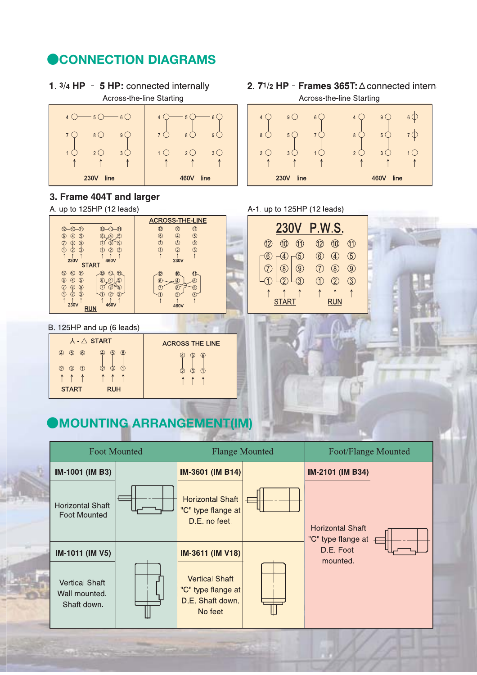### **CONNECTION DIAGRAMS**

1.  $3/4$  HP - 5 HP: connected internally Across-the-line Starting



### 3. Frame 404T and larger

A. up to 125HP (12 leads)



#### B. 125HP and up (6 leads)

| $\lambda$ - $\triangle$ START             | <b>ACROSS-THE-LINE</b>        |
|-------------------------------------------|-------------------------------|
| $-6$<br>$\circled6$<br>$\circ$<br>4)<br>4 | 6<br>$\sqrt{5}$               |
| の<br>っ<br>$\circled{3}$<br>(1)            | ว                             |
| 1 1 1<br>$\uparrow$<br>$\uparrow$<br>↑    | $\uparrow$<br>$\uparrow$<br>۸ |
| <b>RUH</b><br><b>START</b>                |                               |

### **MOUNTING ARRANGEMENT(IM)**



2.  $71/2$  HP - Frames 365T:  $\triangle$  connected internal Across-the-line Starting



#### A-1. up to 125HP (12 leads)

| <b>230V</b>                |                         | <b>P.W.S.</b> |      |    |
|----------------------------|-------------------------|---------------|------|----|
| $\Omega$                   | (11)                    | 12            | (10) | N  |
|                            | 5                       | 6)            | A)   | 5) |
|                            | $\circledS$ $\circledS$ |               |      | 9) |
|                            | $\overline{-(3)}$       |               |      |    |
| $\uparrow$<br><b>START</b> |                         |               | RUN  |    |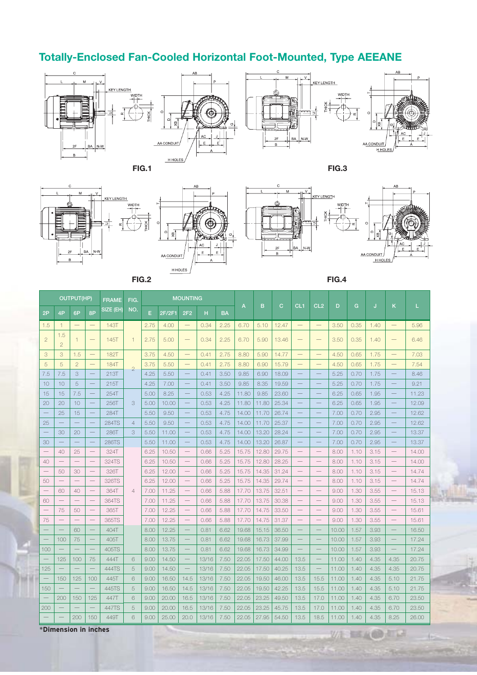

### **Totally-Enclosed Fan-Cooled Horizontal Foot-Mounted, Type AEEANE**

















WA

部

|                 | OUTPUT(HP)               |                          |                          | <b>FRAME</b> | FIG.           |      |        | <b>MOUNTING</b>          |       |           |       |       |       |                          |                          |       |      |      |                          |       |
|-----------------|--------------------------|--------------------------|--------------------------|--------------|----------------|------|--------|--------------------------|-------|-----------|-------|-------|-------|--------------------------|--------------------------|-------|------|------|--------------------------|-------|
| 2P              | 4P                       | 6P                       | 8P                       | SIZE (EH)    | NO.            | E    | 2F/2F1 | 2F <sub>2</sub>          | H     | <b>BA</b> | A     | B     | C     | CL <sub>1</sub>          | CL <sub>2</sub>          | D     | G    | J    | K                        | L     |
| 1.5             | $\overline{1}$           | $\overline{\phantom{0}}$ | $\overline{\phantom{0}}$ | <b>143T</b>  |                | 2.75 | 4.00   |                          | 0.34  | 2.25      | 6.70  | 5.10  | 12.47 |                          |                          | 3.50  | 0.35 | 1.40 | $\qquad \qquad -$        | 5.96  |
| $\overline{2}$  | 1.5<br>$\overline{2}$    | $\mathbf{1}$             | $\overline{\phantom{0}}$ | <b>145T</b>  | $\mathbf{1}$   | 2.75 | 5.00   |                          | 0.34  | 2.25      | 6.70  | 5.90  | 13.46 |                          | $\qquad \qquad -$        | 3.50  | 0.35 | 1.40 | -                        | 6.46  |
| 3               | 3                        | 1.5                      | $\overline{\phantom{0}}$ | 182T         |                | 3.75 | 4.50   |                          | 0.41  | 2.75      | 8.80  | 5.90  | 14.77 | $\qquad \qquad$          | $\qquad \qquad -$        | 4.50  | 0.65 | 1.75 | $\qquad \qquad -$        | 7.03  |
| 5               | 5                        | $\overline{2}$           |                          | <b>184T</b>  | $\overline{2}$ | 3.75 | 5.50   | $\overline{\phantom{m}}$ | 0.41  | 2.75      | 8.80  | 6.90  | 15.79 |                          | $\qquad \qquad -$        | 4.50  | 0.65 | 1.75 | $\qquad \qquad -$        | 7.54  |
| 7.5             | 7.5                      | 3                        | -                        | 213T         |                | 4.25 | 5.50   | $\equiv$                 | 0.41  | 3.50      | 9.85  | 6.90  | 18.09 |                          | $\frac{1}{2}$            | 5.25  | 0.70 | 1.75 | $\overline{\phantom{0}}$ | 8.46  |
| 10              | 10                       | 5                        | $\qquad \qquad -$        | 215T         |                | 4.25 | 7.00   | $\qquad \qquad$          | 0.41  | 3.50      | 9.85  | 8.35  | 19.59 |                          | $\qquad \qquad -$        | 5.25  | 0.70 | 1.75 | $\overline{\phantom{0}}$ | 9.21  |
| 15              | 15                       | 7.5                      | $\overline{\phantom{0}}$ | 254T         |                | 5.00 | 8.25   | $\overline{\phantom{0}}$ | 0.53  | 4.25      | 11.80 | 9.85  | 23.60 |                          | $\frac{1}{2}$            | 6.25  | 0.65 | 1.95 | $\overline{\phantom{0}}$ | 11.23 |
| 20              | 20                       | 10                       |                          | 256T         | 3              | 5.00 | 10.00  |                          | 0.53  | 4.25      | 11.80 | 11.80 | 25.34 |                          |                          | 6.25  | 0.65 | 1.95 |                          | 12.09 |
| $\equiv$        | 25                       | 15                       | $\qquad \qquad -$        | 284T         |                | 5.50 | 9.50   | $\qquad \qquad -$        | 0.53  | 4.75      | 14.00 | 11.70 | 26.74 | $\qquad \qquad -$        | $\overline{\phantom{0}}$ | 7.00  | 0.70 | 2.95 | $\qquad \qquad -$        | 12.62 |
| 25              | $\overline{\phantom{0}}$ | $\overline{\phantom{0}}$ | $\overline{\phantom{0}}$ | <b>284TS</b> | $\overline{4}$ | 5.50 | 9.50   | $\qquad \qquad -$        | 0.53  | 4.75      | 14.00 | 11.70 | 25.37 | $\overline{\phantom{0}}$ | $\qquad \qquad -$        | 7.00  | 0.70 | 2.95 | $\qquad \qquad -$        | 12.62 |
|                 | 30                       | 20                       | -                        | 286T         | 3              | 5.50 | 11.00  | $\qquad \qquad -$        | 0.53  | 4.75      | 14.00 | 13.20 | 28.24 |                          |                          | 7.00  | 0.70 | 2.95 | $\overline{\phantom{0}}$ | 13.37 |
| 30              | $\overline{\phantom{0}}$ | $\overline{\phantom{0}}$ | $\qquad \qquad -$        | 286TS        |                | 5.50 | 11.00  | $\qquad \qquad -$        | 0.53  | 4.75      | 14.00 | 13.20 | 26.87 | $\qquad \qquad -$        | $\qquad \qquad -$        | 7.00  | 0.70 | 2.95 | $\qquad \qquad -$        | 13.37 |
|                 | 40                       | 25                       |                          | 324T         |                | 6.25 | 10.50  | $\qquad \qquad -$        | 0.66  | 5.25      | 15.75 | 12.80 | 29.75 |                          |                          | 8.00  | 1.10 | 3.15 |                          | 14.00 |
| 40              |                          |                          |                          | 324TS        |                | 6.25 | 10.50  | $\qquad \qquad -$        | 0.66  | 5.25      | 15.75 | 12.80 | 28.25 |                          |                          | 8.00  | 1.10 | 3.15 |                          | 14.00 |
| $\qquad \qquad$ | 50                       | 30                       |                          | 326T         |                | 6.25 | 12.00  | $\qquad \qquad -$        | 0.66  | 5.25      | 15.75 | 14.35 | 31.24 | $\qquad \qquad -$        | $\overline{\phantom{m}}$ | 8.00  | 1.10 | 3.15 | $\qquad \qquad -$        | 14.74 |
| 50              | $\overline{\phantom{0}}$ | $\overline{\phantom{0}}$ | $\equiv$                 | 326TS        |                | 6.25 | 12.00  | $\overline{\phantom{m}}$ | 0.66  | 5.25      | 15.75 | 14.35 | 29.74 | $\equiv$                 | $\equiv$                 | 8.00  | 1.10 | 3.15 | $\overline{\phantom{0}}$ | 14.74 |
|                 | 60                       | 40                       |                          | 364T         | $\overline{4}$ | 7.00 | 11.25  |                          | 0.66  | 5.88      | 17.70 | 13.75 | 32.51 |                          |                          | 9.00  | 1.30 | 3.55 |                          | 15.13 |
| 60              |                          |                          |                          | 364TS        |                | 7.00 | 11.25  |                          | 0.66  | 5.88      | 17.70 | 13.75 | 30.38 |                          |                          | 9.00  | 1.30 | 3.55 | $\qquad \qquad -$        | 15.13 |
|                 | 75                       | 50                       |                          | 365T         |                | 7.00 | 12.25  |                          | 0.66  | 5.88      | 17.70 | 14.75 | 33.50 |                          | $\equiv$                 | 9.00  | 1.30 | 3.55 | $\qquad \qquad -$        | 15.61 |
| 75              |                          |                          |                          | 365TS        |                | 7.00 | 12.25  | $\qquad \qquad -$        | 0.66  | 5.88      | 17.70 | 14.75 | 31.37 | $\qquad \qquad -$        | $\qquad \qquad -$        | 9.00  | 1.30 | 3.55 | $\qquad \qquad -$        | 15.61 |
|                 | $\equiv$                 | 60                       |                          | 404T         |                | 8.00 | 12.25  | $\overline{\phantom{0}}$ | 0.81  | 6.62      | 19.68 | 15.15 | 36.50 |                          |                          | 10.00 | 1.57 | 3.93 | $\qquad \qquad -$        | 16.50 |
|                 | 100                      | 75                       |                          | 405T         |                | 8.00 | 13.75  |                          | 0.81  | 6.62      | 19.68 | 16.73 | 37.99 |                          |                          | 10.00 | 1.57 | 3.93 | $\overline{\phantom{0}}$ | 17.24 |
| 100             | $\overline{\phantom{0}}$ |                          | $\overline{\phantom{0}}$ | 405TS        |                | 8.00 | 13.75  | $\qquad \qquad -$        | 0.81  | 6.62      | 19.68 | 16.73 | 34.99 |                          |                          | 10.00 | 1.57 | 3.93 |                          | 17.24 |
|                 | 125                      | 100                      | 75                       | 444T         | 6              | 9.00 | 14.50  | $\overline{\phantom{a}}$ | 13/16 | 7.50      | 22.05 | 17.50 | 44.00 | 13.5                     |                          | 11.00 | 1.40 | 4.35 | 4.35                     | 20.75 |
| 125             | $\overline{\phantom{0}}$ |                          |                          | 444TS        | 5              | 9.00 | 14.50  | $\overline{\phantom{0}}$ | 13/16 | 7.50      | 22.05 | 17.50 | 40.25 | 13.5                     | $\overline{\phantom{0}}$ | 11.00 | 1.40 | 4.35 | 4.35                     | 20.75 |
|                 | 150                      | 125                      | 100                      | 445T         | 6              | 9.00 | 16.50  | 14.5                     | 13/16 | 7.50      | 22.05 | 19.50 | 46.00 | 13.5                     | 15.5                     | 11.00 | 1.40 | 4.35 | 5.10                     | 21.75 |
| 150             | $\overline{\phantom{0}}$ |                          | $\frac{1}{2}$            | 445TS        | 5              | 9.00 | 16.50  | 14.5                     | 13/16 | 7.50      | 22.05 | 19.50 | 42.25 | 13.5                     | 15.5                     | 11.00 | 1.40 | 4.35 | 5.10                     | 21.75 |
|                 | 200                      | 150                      | 125                      | 447T         | 6              | 9.00 | 20.00  | 16.5                     | 13/16 | 7.50      | 22.05 | 23.25 | 49.50 | 13.5                     | 17.0                     | 11.00 | 1.40 | 4.35 | 6.70                     | 23.50 |
| 200             |                          |                          |                          | 447TS        | 5              | 9.00 | 20.00  | 16.5                     | 13/16 | 7.50      | 22.05 | 23.25 | 45.75 | 13.5                     | 17.0                     | 11.00 | 1.40 | 4.35 | 6.70                     | 23.50 |
|                 |                          | 200                      | 150                      | 449T         | 6              | 9.00 | 25.00  | 20.0                     | 13/16 | 7.50      | 22.05 | 27.95 | 54.50 | 13.5                     | 18.5                     | 11.00 | 1.40 | 4.35 | 8.25                     | 26.00 |

\***Dimension in inches**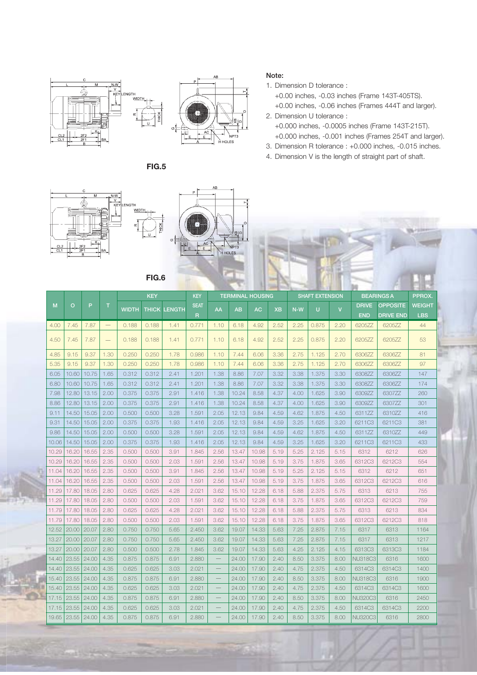



**FIG.6**



1. Dimension D tolerance :

+0.00 inches, -0.03 inches (Frame 143T-405TS). +0.00 inches, -0.06 inches (Frames 444T and larger).

2. Dimension U tolerance : +0.000 inches, -0.0005 inches (Frame 143T-215T). +0.000 inches, -0.001 inches (Frames 254T and larger).

- 3. Dimension R tolerance : +0.000 inches, -0.015 inches.
- 4. Dimension V is the length of straight part of shaft.





|       |         |       |                   |              | <b>KEY</b> |               | <b>KEY</b>   |                          |           | <b>TERMINAL HOUSING</b> |           |       | <b>SHAFT EXTENSION</b> |                |                | <b>BEARINGS A</b> | PPROX.        |
|-------|---------|-------|-------------------|--------------|------------|---------------|--------------|--------------------------|-----------|-------------------------|-----------|-------|------------------------|----------------|----------------|-------------------|---------------|
| M     | $\circ$ | P     | $\top$            | <b>WIDTH</b> | THICK      | <b>LENGTH</b> | <b>SEAT</b>  | AA                       | <b>AB</b> | <b>AC</b>               | <b>XB</b> | $N-W$ | Ü                      | $\overline{V}$ | <b>DRIVE</b>   | <b>OPPOSITE</b>   | <b>WEIGHT</b> |
|       |         |       |                   |              |            |               | $\mathsf{R}$ |                          |           |                         |           |       |                        |                | <b>END</b>     | <b>DRIVE END</b>  | <b>LBS</b>    |
| 4.00  | 7.45    | 7.87  | $\qquad \qquad -$ | 0.188        | 0.188      | 1.41          | 0.771        | 1.10                     | 6.18      | 4.92                    | 2.52      | 2.25  | 0.875                  | 2.20           | 6205ZZ         | 6205ZZ            | 44            |
| 4.50  | 7.45    | 7.87  | $\qquad \qquad -$ | 0.188        | 0.188      | 1.41          | 0.771        | 1.10                     | 6.18      | 4.92                    | 2.52      | 2.25  | 0.875                  | 2.20           | 6205ZZ         | 6205ZZ            | 53            |
| 4.85  | 9.15    | 9.37  | 1.30              | 0.250        | 0.250      | 1.78          | 0.986        | 1.10                     | 7.44      | 6.06                    | 3.36      | 2.75  | 1.125                  | 2.70           | 6306ZZ         | 6306ZZ            | 81            |
| 5.35  | 9.15    | 9.37  | 1.30              | 0.250        | 0.250      | 1.78          | 0.986        | 1.10                     | 7.44      | 6.06                    | 3.36      | 2.75  | 1.125                  | 2.70           | 6306ZZ         | 6306ZZ            | 97            |
| 6.05  | 10.60   | 10.75 | 1.65              | 0.312        | 0.312      | 2.41          | 1.201        | 1.38                     | 8.86      | 7.07                    | 3.32      | 3.38  | 1.375                  | 3.30           | 6308ZZ         | 6306ZZ            | 147           |
| 6.80  | 10.60   | 10.75 | 1.65              | 0.312        | 0.312      | 2.41          | 1.201        | 1.38                     | 8.86      | 7.07                    | 3.32      | 3.38  | 1.375                  | 3.30           | 6308ZZ         | 6306ZZ            | 174           |
| 7.98  | 12.80   | 13.15 | 2.00              | 0.375        | 0.375      | 2.91          | 1.416        | 1.38                     | 10.24     | 8.58                    | 4.37      | 4.00  | 1.625                  | 3.90           | 6309ZZ         | 6307ZZ            | 260           |
| 8.86  | 12.80   | 13.15 | 2.00              | 0.375        | 0.375      | 2.91          | 1.416        | 1.38                     | 10.24     | 8.58                    | 4.37      | 4.00  | 1.625                  | 3.90           | 6309ZZ         | 6307ZZ            | 301           |
| 9.11  | 14.50   | 15.05 | 2.00              | 0.500        | 0.500      | 3.28          | 1.591        | 2.05                     | 12.13     | 9.84                    | 4.59      | 4.62  | 1.875                  | 4.50           | 6311ZZ         | 6310ZZ            | 416           |
| 9.31  | 14.50   | 15.05 | 2.00              | 0.375        | 0.375      | 1.93          | 1.416        | 2.05                     | 12.13     | 9.84                    | 4.59      | 3.25  | 1.625                  | 3.20           | 6211C3         | 6211C3            | 381           |
| 9.86  | 14.50   | 15.05 | 2.00              | 0.500        | 0.500      | 3.28          | 1.591        | 2.05                     | 12.13     | 9.84                    | 4.59      | 4.62  | 1.875                  | 4.50           | 6311ZZ         | 6310ZZ            | 449           |
| 10.06 | 14.50   | 15.05 | 2.00              | 0.375        | 0.375      | 1.93          | 1.416        | 2.05                     | 12.13     | 9.84                    | 4.59      | 3.25  | 1.625                  | 3.20           | 6211C3         | 6211C3            | 433           |
| 10.29 | 16.20   | 16.55 | 2.35              | 0.500        | 0.500      | 3.91          | 1.845        | 2.56                     | 13.47     | 10.98                   | 5.19      | 5.25  | 2.125                  | 5.15           | 6312           | 6212              | 626           |
| 10.29 | 16.20   | 16.55 | 2.35              | 0.500        | 0.500      | 2.03          | 1.591        | 2.56                     | 13.47     | 10.98                   | 5.19      | 3.75  | 1.875                  | 3.65           | 6312C3         | 6212C3            | 554           |
| 11.04 | 16.20   | 16.55 | 2.35              | 0.500        | 0.500      | 3.91          | 1.845        | 2.56                     | 13.47     | 10.98                   | 5.19      | 5.25  | 2.125                  | 5.15           | 6312           | 6212              | 651           |
| 11.04 | 16.20   | 16.55 | 2.35              | 0.500        | 0.500      | 2.03          | 1.591        | 2.56                     | 13.47     | 10.98                   | 5.19      | 3.75  | 1.875                  | 3.65           | 6312C3         | 6212C3            | 616           |
| 11.29 | 17.80   | 18.05 | 2.80              | 0.625        | 0.625      | 4.28          | 2.021        | 3.62                     | 15.10     | 12.28                   | 6.18      | 5.88  | 2.375                  | 5.75           | 6313           | 6213              | 755           |
| 11.29 | 17.80   | 18.05 | 2.80              | 0.500        | 0.500      | 2.03          | 1.591        | 3.62                     | 15.10     | 12.28                   | 6.18      | 3.75  | 1.875                  | 3.65           | 6312C3         | 6212C3            | 759           |
| 11.79 | 17.80   | 18.05 | 2.80              | 0.625        | 0.625      | 4.28          | 2.021        | 3.62                     | 15.10     | 12.28                   | 6.18      | 5.88  | 2.375                  | 5.75           | 6313           | 6213              | 834           |
| 11.79 | 17.80   | 18.05 | 2.80              | 0.500        | 0.500      | 2.03          | 1.591        | 3.62                     | 15.10     | 12.28                   | 6.18      | 3.75  | 1.875                  | 3.65           | 6312C3         | 6212C3            | 818           |
| 12.52 | 20.00   | 20.07 | 2.80              | 0.750        | 0.750      | 5.65          | 2.450        | 3.62                     | 19.07     | 14.33                   | 5.63      | 7.25  | 2.875                  | 7.15           | 6317           | 6313              | 1164          |
| 13.27 | 20.00   | 20.07 | 2.80              | 0.750        | 0.750      | 5.65          | 2.450        | 3.62                     | 19.07     | 14.33                   | 5.63      | 7.25  | 2.875                  | 7.15           | 6317           | 6313              | 1217          |
| 13.27 | 20.00   | 20.07 | 2.80              | 0.500        | 0.500      | 2.78          | 1.845        | 3.62                     | 19.07     | 14.33                   | 5.63      | 4.25  | 2.125                  | 4.15           | 6313C3         | 6313C3            | 1184          |
| 14.40 | 23.55   | 24.00 | 4.35              | 0.875        | 0.875      | 6.91          | 2.880        |                          | 24.00     | 17.90                   | 2.40      | 8.50  | 3.375                  | 8.00           | <b>NU318C3</b> | 6316              | 1600          |
| 14.40 | 23.55   | 24.00 | 4.35              | 0.625        | 0.625      | 3.03          | 2.021        |                          | 24.00     | 17.90                   | 2.40      | 4.75  | 2.375                  | 4.50           | 6314C3         | 6314C3            | 1400          |
| 15.40 | 23.55   | 24.00 | 4.35              | 0.875        | 0.875      | 6.91          | 2.880        |                          | 24.00     | 17.90                   | 2.40      | 8.50  | 3.375                  | 8.00           | NU318C3        | 6316              | 1900          |
| 15.40 | 23.55   | 24.00 | 4.35              | 0.625        | 0.625      | 3.03          | 2.021        | $\qquad \qquad -$        | 24.00     | 17.90                   | 2.40      | 4.75  | 2.375                  | 4.50           | 6314C3         | 6314C3            | 1600          |
| 17.15 | 23.55   | 24.00 | 4.35              | 0.875        | 0.875      | 6.91          | 2.880        | $\overline{\phantom{0}}$ | 24.00     | 17.90                   | 2.40      | 8.50  | 3.375                  | 8.00           | <b>NU320C3</b> | 6316              | 2450          |
| 17.15 | 23.55   | 24.00 | 4.35              | 0.625        | 0.625      | 3.03          | 2.021        |                          | 24.00     | 17.90                   | 2.40      | 4.75  | 2.375                  | 4.50           | 6314C3         | 6314C3            | 2200          |
| 19.65 | 23.55   | 24.00 | 4.35              | 0.875        | 0.875      | 6.91          | 2.880        |                          | 24.00     | 17.90                   | 2.40      | 8.50  | 3.375                  | 8.00           | <b>NU320C3</b> | 6316              | 2800          |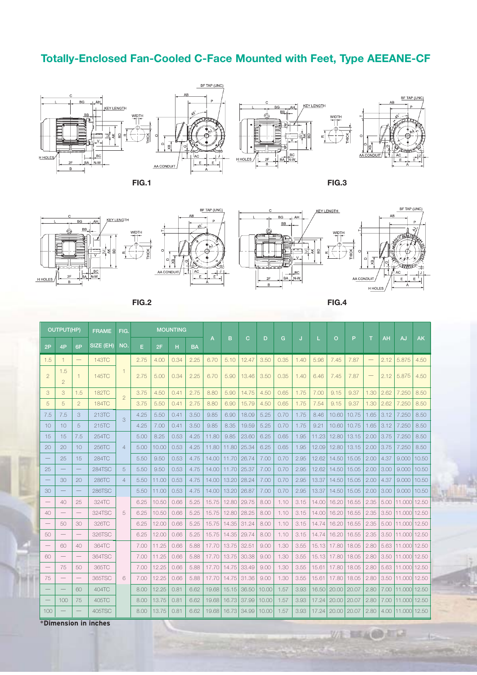### **Totally-Enclosed Fan-Cooled C-Face Mounted with Feet, Type AEEANE-CF**









双座

三五山山市区

IJ



**FIG.2 FIG.4**

|                          | OUTPUT(HP)               |                   | <b>FRAME</b>  | FIG.           |      |       | <b>MOUNTING</b> |           |       |       |       |       |      |      |       |                |       |      |      |              |           |
|--------------------------|--------------------------|-------------------|---------------|----------------|------|-------|-----------------|-----------|-------|-------|-------|-------|------|------|-------|----------------|-------|------|------|--------------|-----------|
| 2P                       | 4P                       | 6P                | SIZE (EH)     | NO.            | E    | 2F    | н               | <b>BA</b> | A     | B     | C     | D     | G    |      |       | $\overline{O}$ | P     | т    | AH   | AJ           | <b>AK</b> |
| 1.5                      | $\mathbf{1}$             |                   | 143TC         |                | 2.75 | 4.00  | 0.34            | 2.25      | 6.70  | 5.10  | 12.47 | 3.50  | 0.35 | 1.40 | 5.96  | 7.45           | 7.87  |      | 2.12 | 5.875        | 4.50      |
| $\overline{2}$           | 1.5<br>$\overline{2}$    | $\mathbf{1}$      | 145TC         | $\mathbf{1}$   | 2.75 | 5.00  | 0.34            | 2.25      | 6.70  | 5.90  | 13.46 | 3.50  | 0.35 | 1.40 | 6.46  | 7.45           | 7.87  |      | 2.12 | 5.875        | 4.50      |
| 3                        | 3                        | 1.5               | <b>182TC</b>  | $\overline{2}$ | 3.75 | 4.50  | 0.41            | 2.75      | 8.80  | 5.90  | 14.75 | 4.50  | 0.65 | 1.75 | 7.00  | 9.15           | 9.37  | 1.30 | 2.62 | 7.250        | 8.50      |
| 5                        | 5                        | $\overline{2}$    | <b>184TC</b>  |                | 3.75 | 5.50  | 0.41            | 2.75      | 8.80  | 6.90  | 15.79 | 4.50  | 0.65 | 1.75 | 7.54  | 9.15           | 9.37  | 1.30 | 2.62 | 7.250        | 8.50      |
| 7.5                      | 7.5                      | 3                 | 213TC         | 3              | 4.25 | 5.50  | 0.41            | 3.50      | 9.85  | 6.90  | 18.09 | 5.25  | 0.70 | 1.75 | 8.46  | 10.60          | 10.75 | 1.65 | 3.12 | 7.250        | 8.50      |
| 10                       | 10                       | 5                 | 215TC         |                | 4.25 | 7.00  | 0.41            | 3.50      | 9.85  | 8.35  | 19.59 | 5.25  | 0.70 | 1.75 | 9.21  | 10.60          | 10.75 | 1.65 | 3.12 | 7.250        | 8.50      |
| 15                       | 15                       | 7.5               | 254TC         |                | 5.00 | 8.25  | 0.53            | 4.25      | 11.80 | 9.85  | 23.60 | 6.25  | 0.65 | 1.95 | 11.23 | 12.80          | 13.15 | 2.00 | 3.75 | 7.250        | 8.50      |
| 20                       | 20                       | 10                | 256TC         | $\overline{4}$ | 5.00 | 10.00 | 0.53            | 4.25      | 11.80 | 11.80 | 25.34 | 6.25  | 0.65 | 1.95 | 12.09 | 12.80          | 13.15 | 2.00 | 3.75 | 7.250        | 8.50      |
|                          | 25                       | 15                | 284TC         |                | 5.50 | 9.50  | 0.53            | 4.75      | 14.00 | 11.70 | 26.74 | 7.00  | 0.70 | 2.95 | 12.62 | 14.50          | 15.05 | 2.00 | 4.37 | 9.000        | 10.50     |
| 25                       |                          |                   | <b>284TSC</b> | 5              | 5.50 | 9.50  | 0.53            | 4.75      | 14.00 | 11.70 | 25.37 | 7.00  | 0.70 | 2.95 | 12.62 | 14.50          | 15.05 | 2.00 | 3.00 | 9.000        | 10.50     |
|                          | 30                       | 20                | 286TC         | $\overline{4}$ | 5.50 | 11.00 | 0.53            | 4.75      | 14.00 | 13.20 | 28.24 | 7.00  | 0.70 | 2.95 | 13.37 | 14.50          | 15.05 | 2.00 | 4.37 | 9.000        | 10.50     |
| 30                       |                          |                   | <b>286TSC</b> |                | 5.50 | 11.00 | 0.53            | 4.75      | 14.00 | 13.20 | 26.87 | 7.00  | 0.70 | 2.95 | 13.37 | 14.50          | 15.05 | 2.00 | 3.00 | 9.000        | 10.50     |
|                          | 40                       | 25                | 324TC         |                | 6.25 | 10.50 | 0.66            | 5.25      | 15.75 | 12.80 | 29.75 | 8.00  | 1.10 | 3.15 | 14.00 | 16.20          | 16.55 | 2.35 | 5.00 | 11.000       | 12.50     |
| 40                       |                          |                   | 324TSC        | 5              | 6.25 | 10.50 | 0.66            | 5.25      | 15.75 | 12.80 | 28.25 | 8.00  | 1.10 | 3.15 | 14.00 | 16.20          | 16.55 | 2.35 | 3.50 | 11,000 12.50 |           |
|                          | 50                       | 30                | 326TC         |                | 6.25 | 12.00 | 0.66            | 5.25      | 15.75 | 14.35 | 31.24 | 8.00  | 1.10 | 3.15 | 14.74 | 16.20          | 16.55 | 2.35 | 5.00 | 11.000       | 12.50     |
| 50                       |                          |                   | 326TSC        |                | 6.25 | 12.00 | 0.66            | 5.25      | 15.75 | 14.35 | 29.74 | 8.00  | 1.10 | 3.15 | 14.74 | 16.20          | 16.55 | 2.35 | 3.50 | 11.000 12.50 |           |
| $\overline{\phantom{m}}$ | 60                       | 40                | 364TC         |                | 7.00 | 11.25 | 0.66            | 5.88      | 17.70 | 13.75 | 32.51 | 9.00  | 1.30 | 3.55 | 15.13 | 17.80          | 18.05 | 2.80 | 5.63 | 11.000       | 12.50     |
| 60                       | $\overline{\phantom{0}}$ |                   | 364TSC        |                | 7.00 | 11.25 | 0.66            | 5.88      | 17.70 | 13.75 | 30.38 | 9.00  | 1.30 | 3.55 | 15.13 | 17.80          | 18.05 | 2.80 | 3.50 | 11,000 12.50 |           |
|                          | 75                       | 50                | 365TC         |                | 7.00 | 12.25 | 0.66            | 5.88      | 17.70 | 14.75 | 33.49 | 9.00  | 1.30 | 3.55 | 15.61 | 17.80          | 18.05 | 2.80 | 5.63 | 11.000 12.50 |           |
| 75                       | $\qquad \qquad$          | $\qquad \qquad -$ | 365TSC        | 6              | 7.00 | 12.25 | 0.66            | 5.88      | 17.70 | 14.75 | 31.36 | 9.00  | 1.30 | 3.55 | 15.61 | 17.80          | 18.05 | 2.80 | 3.50 | 11.000       | 12.50     |
|                          |                          | 60                | 404TC         |                | 8.00 | 12.25 | 0.81            | 6.62      | 19.68 | 15.15 | 36.50 | 10.00 | 1.57 | 3.93 | 16.50 | 20.00          | 20.07 | 2.80 | 7.00 | 11,000 12.50 |           |
|                          | 100                      | 75                | 405TC         |                | 8.00 | 13.75 | 0.81            | 6.62      | 19.68 | 16.73 | 37.99 | 10.00 | 1.57 | 3.93 | 17.24 | 20.00          | 20.07 | 2.80 | 7.00 | 11.000 12.50 |           |
| 100                      |                          |                   | 405TSC        |                | 8.00 | 13.75 | 0.81            | 6.62      | 19.68 | 16.73 | 34.99 | 10.00 | 1.57 | 3.93 | 17.24 | 20.00          | 20.07 | 2.80 | 4.00 | 11,000 12.50 |           |

\***Dimension in inches**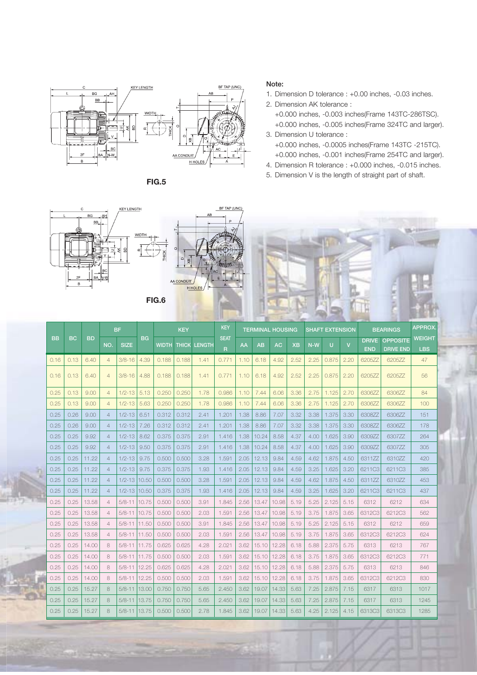

**FIG.5**

#### **Note:**

- 1. Dimension D tolerance : +0.00 inches, -0.03 inches.
- 2. Dimension AK tolerance :
	- +0.000 inches, -0.003 inches(Frame 143TC-286TSC). +0.000 inches, -0.005 inches(Frame 324TC and larger).
- 3. Dimension U tolerance : +0.000 inches, -0.0005 inches(Frame 143TC -215TC). +0.000 inches, -0.001 inches(Frame 254TC and larger).
- 4. Dimension R tolerance : +0.000 inches, -0.015 inches.
- 5. Dimension V is the length of straight part of shaft.



| <b>BB</b> |           |           |                | <b>BF</b>    |           |              | <b>KEY</b> |               | <b>KEY</b>                 |      | <b>TERMINAL HOUSING</b> |           |           |       | <b>SHAFT EXTENSION</b> |              |                            | <b>BEARINGS</b>                     | <b>APPROX</b>               |
|-----------|-----------|-----------|----------------|--------------|-----------|--------------|------------|---------------|----------------------------|------|-------------------------|-----------|-----------|-------|------------------------|--------------|----------------------------|-------------------------------------|-----------------------------|
|           | <b>BC</b> | <b>BD</b> | NO.            | <b>SIZE</b>  | <b>BG</b> | <b>WIDTH</b> | THICK      | <b>LENGTH</b> | <b>SEAT</b><br>$\mathsf R$ | AA   | AB                      | <b>AC</b> | <b>XB</b> | $N-W$ | U                      | $\mathbf{V}$ | <b>DRIVE</b><br><b>END</b> | <b>OPPOSITE</b><br><b>DRIVE END</b> | <b>WEIGHT</b><br><b>LBS</b> |
| 0.16      | 0.13      | 6.40      | $\overline{4}$ | $3/8 - 16$   | 4.39      | 0.188        | 0.188      | 1.41          | 0.771                      | 1.10 | 6.18                    | 4.92      | 2.52      | 2.25  | 0.875                  | 2.20         | 6205ZZ                     | 6205ZZ                              | 47                          |
| 0.16      | 0.13      | 6.40      | $\overline{4}$ | $3/8 - 16$   | 4.88      | 0.188        | 0.188      | 1.41          | 0.771                      | 1.10 | 6.18                    | 4.92      | 2.52      | 2.25  | 0.875                  | 2.20         | 6205ZZ                     | 6205ZZ                              | 56                          |
| 0.25      | 0.13      | 9.00      | $\overline{4}$ | $1/2 - 13$   | 5.13      | 0.250        | 0.250      | 1.78          | 0.986                      | 1.10 | 7.44                    | 6.06      | 3.36      | 2.75  | 1.125                  | 2.70         | 6306ZZ                     | 6306ZZ                              | 84                          |
| 0.25      | 0.13      | 9.00      | $\overline{4}$ | $1/2 - 13$   | 5.63      | 0.250        | 0.250      | 1.78          | 0.986                      | 1.10 | 7.44                    | 6.06      | 3.36      | 2.75  | 1.125                  | 2.70         | 6306ZZ                     | 6306ZZ                              | 100                         |
| 0.25      | 0.26      | 9.00      | $\overline{4}$ | $1/2 - 13$   | 6.51      | 0.312        | 0.312      | 2.41          | 1.201                      | 1.38 | 8.86                    | 7.07      | 3.32      | 3.38  | 1.375                  | 3.30         | 6308ZZ                     | 6306ZZ                              | 151                         |
| 0.25      | 0.26      | 9.00      | $\overline{4}$ | $1/2 - 13$   | 7.26      | 0.312        | 0.312      | 2.41          | 1.201                      | 1.38 | 8.86                    | 7.07      | 3.32      | 3.38  | 1.375                  | 3.30         | 6308ZZ                     | 6306ZZ                              | 178                         |
| 0.25      | 0.25      | 9.92      | $\overline{4}$ | $1/2 - 13$   | 8.62      | 0.375        | 0.375      | 2.91          | 1.416                      | 1.38 | 10.24                   | 8.58      | 4.37      | 4.00  | 1.625                  | 3.90         | 6309ZZ                     | 6307ZZ                              | 264                         |
| 0.25      | 0.25      | 9.92      | $\overline{4}$ | $1/2 - 13$   | 9.50      | 0.375        | 0.375      | 2.91          | 1.416                      | 1.38 | 10.24                   | 8.58      | 4.37      | 4.00  | 1.625                  | 3.90         | 6309ZZ                     | 6307ZZ                              | 305                         |
| 0.25      | 0.25      | 11.22     | $\overline{4}$ | $1/2 - 13$   | 9.75      | 0.500        | 0.500      | 3.28          | 1.591                      | 2.05 | 12.13                   | 9.84      | 4.59      | 4.62  | 1.875                  | 4.50         | 6311ZZ                     | 6310ZZ                              | 420                         |
| 0.25      | 0.25      | 11.22     | $\overline{4}$ | $1/2 - 13$   | 9.75      | 0.375        | 0.375      | 1.93          | 1.416                      | 2.05 | 12.13                   | 9.84      | 4.59      | 3.25  | 1.625                  | 3.20         | 6211C3                     | 6211C3                              | 385                         |
| 0.25      | 0.25      | 11.22     | $\overline{4}$ | $1/2 - 13$   | 10.50     | 0.500        | 0.500      | 3.28          | 1.591                      | 2.05 | 12.13                   | 9.84      | 4.59      | 4.62  | 1.875                  | 4.50         | 6311ZZ                     | 6310ZZ                              | 453                         |
| 0.25      | 0.25      | 11.22     | $\overline{4}$ | 1/2-13 10.50 |           | 0.375        | 0.375      | 1.93          | 1.416                      | 2.05 | 12.13                   | 9.84      | 4.59      | 3.25  | 1.625                  | 3.20         | 6211C3                     | 6211C3                              | 437                         |
| 0.25      | 0.25      | 13.58     | $\overline{4}$ | $5/8 - 11$   | 10.75     | 0.500        | 0.500      | 3.91          | 1.845                      | 2.56 | 13.47                   | 10.98     | 5.19      | 5.25  | 2.125                  | 5.15         | 6312                       | 6212                                | 634                         |
| 0.25      | 0.25      | 13.58     | $\overline{4}$ | $5/8 - 11$   | 10.75     | 0.500        | 0.500      | 2.03          | 1.591                      | 2.56 | 13.47                   | 10.98     | 5.19      | 3.75  | 1.875                  | 3.65         | 6312C3                     | 6212C3                              | 562                         |
| 0.25      | 0.25      | 13.58     | $\overline{4}$ | $5/8 - 11$   | 11.50     | 0.500        | 0.500      | 3.91          | 1.845                      | 2.56 | 13.47                   | 10.98     | 5.19      | 5.25  | 2.125                  | 5.15         | 6312                       | 6212                                | 659                         |
| 0.25      | 0.25      | 13.58     | $\overline{4}$ | $5/8 - 11$   | 11.50     | 0.500        | 0.500      | 2.03          | 1.591                      | 2.56 | 13.47                   | 10.98     | 5.19      | 3.75  | 1.875                  | 3.65         | 6312C3                     | 6212C3                              | 624                         |
| 0.25      | 0.25      | 14.00     | 8              | $5/8 - 11$   | 11.75     | 0.625        | 0.625      | 4.28          | 2.021                      | 3.62 | 15.10                   | 12.28     | 6.18      | 5.88  | 2.375                  | 5.75         | 6313                       | 6213                                | 767                         |
| 0.25      | 0.25      | 14.00     | 8              | $5/8 - 11$   | 11.75     | 0.500        | 0.500      | 2.03          | 1.591                      | 3.62 | 15.10                   | 12.28     | 6.18      | 3.75  | 1.875                  | 3.65         | 6312C3                     | 6212C3                              | 771                         |
| 0.25      | 0.25      | 14.00     | 8              | $5/8 - 11$   | 12.25     | 0.625        | 0.625      | 4.28          | 2.021                      | 3.62 | 15.10                   | 12.28     | 6.18      | 5.88  | 2.375                  | 5.75         | 6313                       | 6213                                | 846                         |
| 0.25      | 0.25      | 14.00     | 8              | $5/8 - 11$   | 12.25     | 0.500        | 0.500      | 2.03          | 1.591                      | 3.62 | 15.10                   | 12.28     | 6.18      | 3.75  | 1.875                  | 3.65         | 6312C3                     | 6212C3                              | 830                         |
| 0.25      | 0.25      | 15.27     | 8              | $5/8 - 11$   | 13.00     | 0.750        | 0.750      | 5.65          | 2.450                      | 3.62 | 19.07                   | 14.33     | 5.63      | 7.25  | 2.875                  | 7.15         | 6317                       | 6313                                | 1017                        |
| 0.25      | 0.25      | 15.27     | 8              | $5/8 - 11$   | 13.75     | 0.750        | 0.750      | 5.65          | 2.450                      | 3.62 | 19.07                   | 14.33     | 5.63      | 7.25  | 2.875                  | 7.15         | 6317                       | 6313                                | 1245                        |
| 0.25      | 0.25      | 15.27     | 8              | $5/8 - 11$   | 13.75     | 0.500        | 0.500      | 2.78          | 1.845                      | 3.62 | 19.07                   | 14.33     | 5.63      | 4.25  | 2.125                  | 4.15         | 6313C3                     | 6313C3                              | 1285                        |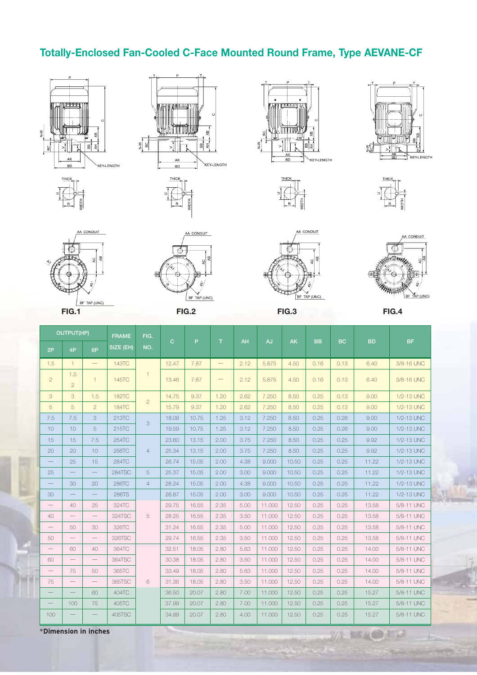### **Totally-Enclosed Fan-Cooled C-Face Mounted Round Frame, Type AEVANE-CF**













A CONDUIT









TAP (UNC)

AA CONDUIT

**V/H 国家政府 人工** 

sа

|                          | <b>OUTPUT(HP)</b>     |                                 | <b>FRAME</b> | FIG.           |              |       |                                |           |        |           |           |           |           |            |
|--------------------------|-----------------------|---------------------------------|--------------|----------------|--------------|-------|--------------------------------|-----------|--------|-----------|-----------|-----------|-----------|------------|
| 2P                       | 4P                    | 6P                              | SIZE (EH)    | NO.            | $\mathbf{C}$ | P     | $\top$                         | <b>AH</b> | AJ     | <b>AK</b> | <b>BB</b> | <b>BC</b> | <b>BD</b> | <b>BF</b>  |
| 1.5                      | $\mathbf{1}$          | $\qquad \qquad -$               | 143TC        |                | 12.47        | 7.87  | $\qquad \qquad -$              | 2.12      | 5.875  | 4.50      | 0.16      | 0.13      | 6.40      | 3/8-16 UNC |
| $\overline{2}$           | 1.5<br>$\overline{2}$ | $\mathbf{1}$                    | 145TC        | $\mathbf{1}$   | 13.46        | 7.87  | $\qquad \qquad \longleftarrow$ | 2.12      | 5.875  | 4.50      | 0.16      | 0.13      | 6.40      | 3/8-16 UNC |
| 3                        | 3                     | 1.5                             | <b>182TC</b> |                | 14.75        | 9.37  | 1.20                           | 2.62      | 7.250  | 8.50      | 0.25      | 0.13      | 9.00      | 1/2-13 UNC |
| 5                        | 5                     | $\overline{2}$                  | <b>184TC</b> | $\overline{2}$ | 15.79        | 9.37  | 1.20                           | 2.62      | 7.250  | 8.50      | 0.25      | 0.13      | 9.00      | 1/2-13 UNC |
| 7.5                      | 7.5                   | 3                               | 213TC        | 3              | 18.09        | 10.75 | 1.25                           | 3.12      | 7.250  | 8.50      | 0.25      | 0.26      | 9.00      | 1/2-13 UNC |
| 10                       | 10 <sup>1</sup>       | 5                               | 215TC        |                | 19.59        | 10.75 | 1.25                           | 3.12      | 7.250  | 8.50      | 0.25      | 0.26      | 9.00      | 1/2-13 UNC |
| 15                       | 15                    | 7.5                             | 254TC        |                | 23.60        | 13.15 | 2.00                           | 3.75      | 7.250  | 8.50      | 0.25      | 0.25      | 9.92      | 1/2-13 UNC |
| 20                       | 20 <sup>°</sup>       | 10                              | 256TC        | $\overline{4}$ | 25.34        | 13.15 | 2.00                           | 3.75      | 7.250  | 8.50      | 0.25      | 0.25      | 9.92      | 1/2-13 UNC |
| $\qquad \qquad -$        | 25                    | 15                              | 284TC        |                | 26.74        | 15.05 | 2.00                           | 4.38      | 9.000  | 10.50     | 0.25      | 0.25      | 11.22     | 1/2-13 UNC |
| 25                       |                       |                                 | 284TSC       | 5              | 25.37        | 15.05 | 2.00                           | 3.00      | 9.000  | 10.50     | 0.25      | 0.25      | 11.22     | 1/2-13 UNC |
| $\overline{\phantom{0}}$ | 30                    | 20                              | 286TC        | $\overline{4}$ | 28.24        | 15.05 | 2.00                           | 4.38      | 9.000  | 10.50     | 0.25      | 0.25      | 11.22     | 1/2-13 UNC |
| 30                       |                       |                                 | 286TS        |                | 26.87        | 15.05 | 2.00                           | 3.00      | 9.000  | 10.50     | 0.25      | 0.25      | 11.22     | 1/2-13 UNC |
|                          | 40                    | 25                              | 324TC        |                | 29.75        | 16.55 | 2.35                           | 5.00      | 11.000 | 12.50     | 0.25      | 0.25      | 13.58     | 5/8-11 UNC |
| 40                       |                       | $\qquad \qquad -$               | 324TSC       | 5              | 28.25        | 16.55 | 2.35                           | 3.50      | 11.000 | 12.50     | 0.25      | 0.25      | 13.58     | 5/8-11 UNC |
| $\overline{\phantom{0}}$ | 50                    | 30                              | 326TC        |                | 31.24        | 16.55 | 2.35                           | 5.00      | 11.000 | 12.50     | 0.25      | 0.25      | 13.58     | 5/8-11 UNC |
| 50                       |                       | $\overline{\phantom{m}}$        | 326TSC       |                | 29.74        | 16.55 | 2.35                           | 3.50      | 11.000 | 12.50     | 0.25      | 0.25      | 13.58     | 5/8-11 UNC |
|                          | 60                    | 40 <sup>°</sup>                 | 364TC        |                | 32.51        | 18.05 | 2.80                           | 5.63      | 11.000 | 12.50     | 0.25      | 0.25      | 14.00     | 5/8-11 UNC |
| 60                       | $-$                   | $\overbrace{\qquad \qquad }^{}$ | 364TSC       |                | 30.38        | 18.05 | 2.80                           | 3.50      | 11.000 | 12.50     | 0.25      | 0.25      | 14.00     | 5/8-11 UNC |
| $\overline{\phantom{m}}$ | 75                    | 50                              | 365TC        |                | 33.49        | 18.05 | 2.80                           | 5.63      | 11.000 | 12.50     | 0.25      | 0.25      | 14.00     | 5/8-11 UNC |
| 75                       |                       | $\qquad \qquad -$               | 365TSC       | 6              | 31.36        | 18.05 | 2.80                           | 3.50      | 11.000 | 12.50     | 0.25      | 0.25      | 14.00     | 5/8-11 UNC |
|                          |                       | 60                              | 404TC        |                | 36.50        | 20.07 | 2.80                           | 7.00      | 11.000 | 12.50     | 0.25      | 0.25      | 15.27     | 5/8-11 UNC |
| $\overline{\phantom{0}}$ | 100                   | 75                              | 405TC        |                | 37.99        | 20.07 | 2.80                           | 7.00      | 11.000 | 12.50     | 0.25      | 0.25      | 15.27     | 5/8-11 UNC |
| 100                      |                       |                                 | 405TSC       |                | 34.99        | 20.07 | 2.80                           | 4.00      | 11.000 | 12.50     | 0.25      | 0.25      | 15.27     | 5/8-11 UNC |

\***Dimension in inches**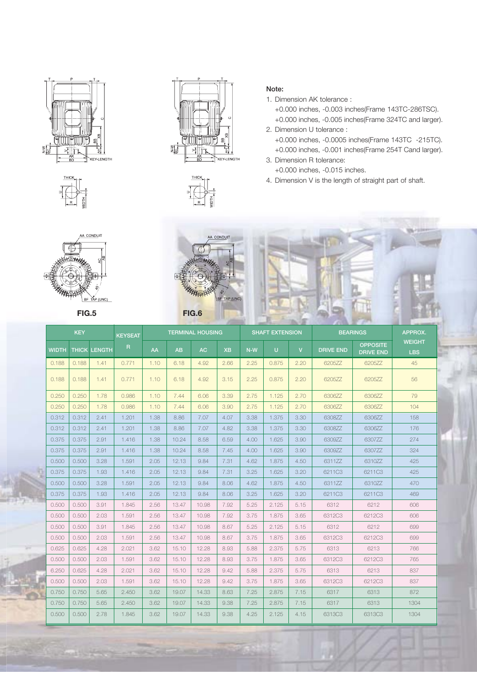



A CONDUIT

AP (UNC)

**Contract Contract** 



**Note:**

1. Dimension AK tolerance : +0.000 inches, -0.003 inches(Frame 143TC-286TSC).

+0.000 inches, -0.005 inches(Frame 324TC and larger). 2. Dimension U tolerance :

+0.000 inches, -0.0005 inches(Frame 143TC -215TC). +0.000 inches, -0.001 inches(Frame 254T Cand larger).

3. Dimension R tolerance: +0.000 inches, -0.015 inches.

4. Dimension V is the length of straight part of shaft.



|       |            |                     | <b>ARTISE</b>  |      |       |                         |                |       |                        |                |                  |                                     |                             |
|-------|------------|---------------------|----------------|------|-------|-------------------------|----------------|-------|------------------------|----------------|------------------|-------------------------------------|-----------------------------|
|       | <b>KEY</b> |                     | <b>KEYSEAT</b> |      |       | <b>TERMINAL HOUSING</b> |                |       | <b>SHAFT EXTENSION</b> |                |                  | <b>BEARINGS</b>                     | APPROX.                     |
| WIDTH |            | <b>THICK LENGTH</b> | R              | AA   | AB    | AC                      | X <sub>B</sub> | $N-W$ | $\mathbf{U}$           | $\overline{V}$ | <b>DRIVE END</b> | <b>OPPOSITE</b><br><b>DRIVE END</b> | <b>WEIGHT</b><br><b>LBS</b> |
| 0.188 | 0.188      | 1.41                | 0.771          | 1.10 | 6.18  | 4.92                    | 2.66           | 2.25  | 0.875                  | 2.20           | 6205ZZ           | 6205ZZ                              | 45                          |
| 0.188 | 0.188      | 1.41                | 0.771          | 1.10 | 6.18  | 4.92                    | 3.15           | 2.25  | 0.875                  | 2.20           | 6205ZZ           | 6205ZZ                              | 56                          |
| 0.250 | 0.250      | 1.78                | 0.986          | 1.10 | 7.44  | 6.06                    | 3.39           | 2.75  | 1.125                  | 2.70           | 6306ZZ           | 6306ZZ                              | 79                          |
| 0.250 | 0.250      | 1.78                | 0.986          | 1.10 | 7.44  | 6.06                    | 3.90           | 2.75  | 1.125                  | 2.70           | 6306ZZ           | 6306ZZ                              | 104                         |
| 0.312 | 0.312      | 2.41<br>1.201       |                | 1.38 | 8.86  | 7.07                    | 4.07           | 3.38  | 1.375                  | 3.30           | 6308ZZ           | 630677                              | 158                         |
| 0.312 | 0.312      | 2.41                | 1.201          | 1.38 | 8.86  | 7.07                    | 4.82           | 3.38  | 1.375                  | 3.30           | 6308ZZ           | 6306ZZ                              | 176                         |
| 0.375 | 0.375      | 2.91                | 1.416          | 1.38 | 10.24 | 8.58                    | 6.59           | 4.00  | 1.625                  | 3.90           | 6309ZZ           | 6307ZZ                              | 274                         |
| 0.375 | 0.375      | 2.91                | 1.416          | 1.38 | 10.24 | 8.58                    | 7.45           | 4.00  | 1.625                  | 3.90           | 6309ZZ           | 6307ZZ                              | 324                         |
| 0.500 | 0.500      | 3.28                | 1.591          | 2.05 | 12.13 | 9.84                    | 7.31           | 4.62  | 1.875                  | 4.50           | 6311ZZ           | 6310ZZ                              | 425                         |
| 0.375 | 0.375      | 1.93                | 1.416          | 2.05 | 12.13 | 9.84                    | 7.31           | 3.25  | 1.625                  | 3.20           | 6211C3           | 6211C3                              | 425                         |
| 0.500 | 0.500      | 3.28                | 1.591          | 2.05 | 12.13 | 9.84                    | 8.06           | 4.62  | 1.875                  | 4.50           | 631177           | 631077                              | 470                         |
| 0.375 | 0.375      | 1.93                | 1.416          | 2.05 | 12.13 | 9.84                    | 8.06           | 3.25  | 1.625                  | 3.20           | 6211C3           | 6211C3                              | 469                         |
| 0.500 | 0.500      | 3.91                | 1.845          | 2.56 | 13.47 | 10.98                   | 7.92           | 5.25  | 2.125                  | 5.15           | 6312             | 6212                                | 606                         |
| 0.500 | 0.500      | 2.03                | 1.591          | 2.56 | 13.47 | 10.98                   | 7.92           | 3.75  | 1.875                  | 3.65           | 6312C3           | 6212C3                              | 606                         |
| 0.500 | 0.500      | 3.91                | 1.845          | 2.56 | 13.47 | 10.98                   | 8.67           | 5.25  | 2.125                  | 5.15           | 6312             | 6212                                | 699                         |
| 0.500 | 0.500      | 2.03                | 1.591          | 2.56 | 13.47 | 10.98                   | 8.67           | 3.75  | 1.875                  | 3.65           | 6312C3           | 6212C3                              | 699                         |
| 0.625 | 0.625      | 4.28                | 2.021          | 3.62 | 15.10 | 12.28                   | 8.93           | 5.88  | 2.375                  | 5.75           | 6313             | 6213                                | 766                         |
| 0.500 | 0.500      | 2.03                | 1.591          | 3.62 | 15.10 | 12.28                   | 8.93           | 3.75  | 1.875                  | 3.65           | 6312C3           | 6212C3                              | 765                         |
| 6.250 | 0.625      | 4.28                | 2.021          | 3.62 | 15.10 | 12.28                   | 9.42           | 5.88  | 2.375                  | 5.75           | 6313             | 6213                                | 837                         |
| 0.500 | 0.500      | 2.03                | 1.591          | 3.62 | 15.10 | 12.28                   | 9.42           | 3.75  | 1.875                  | 3.65           | 6312C3           | 6212C3                              | 837                         |
| 0.750 | 0.750      | 5.65                | 2.450          | 3.62 | 19.07 | 14.33                   | 8.63           | 7.25  | 2.875                  | 7.15           | 6317             | 6313                                | 872                         |
| 0.750 | 0.750      | 5.65                | 2.450          | 3.62 | 19.07 | 14.33                   | 9.38           | 7.25  | 2.875                  | 7.15           | 6317             | 6313                                | 1304                        |
| 0.500 | 0.500      | 2.78                | 1.845          | 3.62 | 19.07 | 14.33                   | 9.38           | 4.25  | 2.125                  | 4.15           | 6313C3           | 6313C3                              | 1304                        |